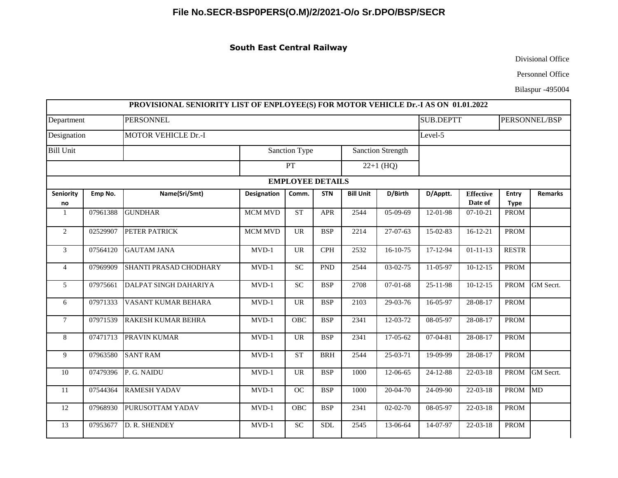## **File No.SECR-BSP0PERS(O.M)/2/2021-O/o Sr.DPO/BSP/SECR**

## **South East Central Railway**

Divisional Office

Personnel Office

Bilaspur -495004

|                           |          | PROVISIONAL SENIORITY LIST OF ENPLOYEE(S) FOR MOTOR VEHICLE Dr.-I AS ON 01.01.2022 |                |                                   |            |                          |                |                |                             |                      |                |  |
|---------------------------|----------|------------------------------------------------------------------------------------|----------------|-----------------------------------|------------|--------------------------|----------------|----------------|-----------------------------|----------------------|----------------|--|
| Department<br>Designation |          | <b>PERSONNEL</b><br><b>MOTOR VEHICLE Dr.-I</b>                                     |                |                                   |            |                          |                |                | <b>SUB.DEPTT</b>            |                      | PERSONNEL/BSP  |  |
|                           |          |                                                                                    |                |                                   |            |                          |                |                | Level-5                     |                      |                |  |
| <b>Bill Unit</b>          |          |                                                                                    |                | Sanction Type                     |            | <b>Sanction Strength</b> |                |                |                             |                      |                |  |
|                           |          |                                                                                    | PT             |                                   |            | $22+1$ (HQ)              |                |                |                             |                      |                |  |
|                           |          |                                                                                    |                | <b>EMPLOYEE DETAILS</b>           |            |                          |                |                |                             |                      |                |  |
| Seniority<br>no           | Emp No.  | Name(Sri/Smt)                                                                      | Designation    | Comm.                             | <b>STN</b> | <b>Bill Unit</b>         | D/Birth        | D/Apptt.       | <b>Effective</b><br>Date of | Entry<br><b>Type</b> | <b>Remarks</b> |  |
| -1                        | 07961388 | <b>GUNDHAR</b>                                                                     | <b>MCM MVD</b> | ST                                | <b>APR</b> | 2544                     | $05-09-69$     | $12 - 01 - 98$ | $07 - 10 - 21$              | <b>PROM</b>          |                |  |
| $\overline{c}$            | 02529907 | PETER PATRICK                                                                      | <b>MCM MVD</b> | <b>UR</b>                         | <b>BSP</b> | 2214                     | 27-07-63       | 15-02-83       | $16-12-21$                  | <b>PROM</b>          |                |  |
| $\mathfrak{Z}$            | 07564120 | <b>GAUTAM JANA</b>                                                                 | $MVD-1$        | <b>UR</b>                         | <b>CPH</b> | 2532                     | $16-10-75$     | 17-12-94       | $01 - 11 - 13$              | <b>RESTR</b>         |                |  |
| $\overline{4}$            | 07969909 | SHANTI PRASAD CHODHARY                                                             | $MVD-1$        | SC                                | <b>PND</b> | 2544                     | 03-02-75       | 11-05-97       | $10-12-15$                  | <b>PROM</b>          |                |  |
| 5                         | 07975661 | DALPAT SINGH DAHARIYA                                                              | $MVD-1$        | SC                                | <b>BSP</b> | 2708                     | $07 - 01 - 68$ | 25-11-98       | $10-12-15$                  | <b>PROM</b>          | GM Secrt.      |  |
| 6                         | 07971333 | VASANT KUMAR BEHARA                                                                | $MVD-1$        | <b>UR</b>                         | <b>BSP</b> | 2103                     | 29-03-76       | 16-05-97       | 28-08-17                    | <b>PROM</b>          |                |  |
| $\tau$                    | 07971539 | <b>RAKESH KUMAR BEHRA</b>                                                          | $MVD-1$        | <b>OBC</b>                        | <b>BSP</b> | 2341                     | $12 - 03 - 72$ | 08-05-97       | 28-08-17                    | <b>PROM</b>          |                |  |
| 8                         | 07471713 | <b>PRAVIN KUMAR</b>                                                                | $MVD-1$        | <b>UR</b>                         | <b>BSP</b> | 2341                     | 17-05-62       | $07-04-81$     | 28-08-17                    | <b>PROM</b>          |                |  |
| 9                         | 07963580 | <b>SANT RAM</b>                                                                    | $MVD-1$        | <b>ST</b>                         | <b>BRH</b> | 2544                     | 25-03-71       | 19-09-99       | 28-08-17                    | <b>PROM</b>          |                |  |
| 10                        | 07479396 | P. G. NAIDU                                                                        | $MVD-1$        | $\ensuremath{\mathsf{UR}}\xspace$ | <b>BSP</b> | 1000                     | 12-06-65       | 24-12-88       | $22 - 03 - 18$              | <b>PROM</b>          | GM Secrt.      |  |
| 11                        | 07544364 | <b>RAMESH YADAV</b>                                                                | $MVD-1$        | OC                                | <b>BSP</b> | 1000                     | 20-04-70       | 24-09-90       | $22 - 03 - 18$              | PROM MD              |                |  |
| 12                        | 07968930 | PURUSOTTAM YADAV                                                                   | $MVD-1$        | OBC                               | <b>BSP</b> | 2341                     | $02 - 02 - 70$ | 08-05-97       | $22 - 03 - 18$              | <b>PROM</b>          |                |  |
| 13                        | 07953677 | D. R. SHENDEY                                                                      | $MVD-1$        | ${\rm SC}$                        | <b>SDL</b> | 2545                     | 13-06-64       | 14-07-97       | $22 - 03 - 18$              | <b>PROM</b>          |                |  |